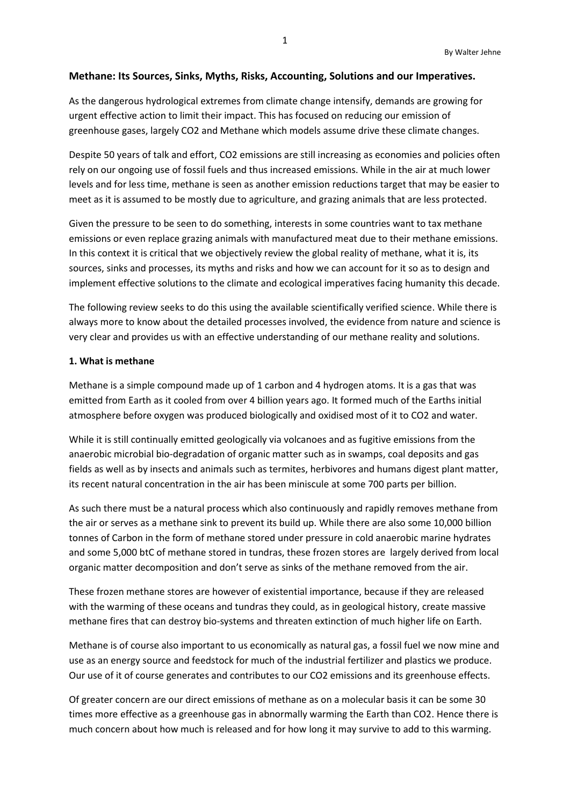## **Methane: Its Sources, Sinks, Myths, Risks, Accounting, Solutions and our Imperatives.**

As the dangerous hydrological extremes from climate change intensify, demands are growing for urgent effective action to limit their impact. This has focused on reducing our emission of greenhouse gases, largely CO2 and Methane which models assume drive these climate changes.

Despite 50 years of talk and effort, CO2 emissions are still increasing as economies and policies often rely on our ongoing use of fossil fuels and thus increased emissions. While in the air at much lower levels and for less time, methane is seen as another emission reductions target that may be easier to meet as it is assumed to be mostly due to agriculture, and grazing animals that are less protected.

Given the pressure to be seen to do something, interests in some countries want to tax methane emissions or even replace grazing animals with manufactured meat due to their methane emissions. In this context it is critical that we objectively review the global reality of methane, what it is, its sources, sinks and processes, its myths and risks and how we can account for it so as to design and implement effective solutions to the climate and ecological imperatives facing humanity this decade.

The following review seeks to do this using the available scientifically verified science. While there is always more to know about the detailed processes involved, the evidence from nature and science is very clear and provides us with an effective understanding of our methane reality and solutions.

#### **1. What is methane**

Methane is a simple compound made up of 1 carbon and 4 hydrogen atoms. It is a gas that was emitted from Earth as it cooled from over 4 billion years ago. It formed much of the Earths initial atmosphere before oxygen was produced biologically and oxidised most of it to CO2 and water.

While it is still continually emitted geologically via volcanoes and as fugitive emissions from the anaerobic microbial bio-degradation of organic matter such as in swamps, coal deposits and gas fields as well as by insects and animals such as termites, herbivores and humans digest plant matter, its recent natural concentration in the air has been miniscule at some 700 parts per billion.

As such there must be a natural process which also continuously and rapidly removes methane from the air or serves as a methane sink to prevent its build up. While there are also some 10,000 billion tonnes of Carbon in the form of methane stored under pressure in cold anaerobic marine hydrates and some 5,000 btC of methane stored in tundras, these frozen stores are largely derived from local organic matter decomposition and don't serve as sinks of the methane removed from the air.

These frozen methane stores are however of existential importance, because if they are released with the warming of these oceans and tundras they could, as in geological history, create massive methane fires that can destroy bio-systems and threaten extinction of much higher life on Earth.

Methane is of course also important to us economically as natural gas, a fossil fuel we now mine and use as an energy source and feedstock for much of the industrial fertilizer and plastics we produce. Our use of it of course generates and contributes to our CO2 emissions and its greenhouse effects.

Of greater concern are our direct emissions of methane as on a molecular basis it can be some 30 times more effective as a greenhouse gas in abnormally warming the Earth than CO2. Hence there is much concern about how much is released and for how long it may survive to add to this warming.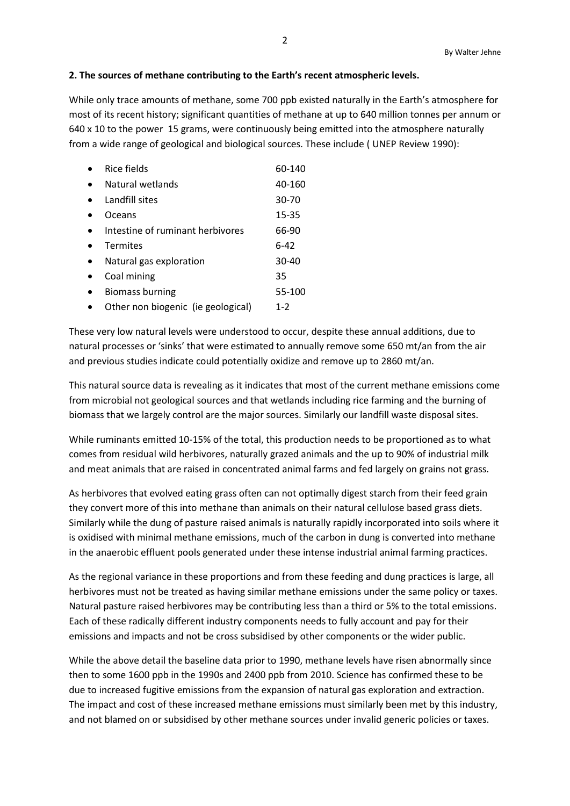## **2. The sources of methane contributing to the Earth's recent atmospheric levels.**

While only trace amounts of methane, some 700 ppb existed naturally in the Earth's atmosphere for most of its recent history; significant quantities of methane at up to 640 million tonnes per annum or 640 x 10 to the power 15 grams, were continuously being emitted into the atmosphere naturally from a wide range of geological and biological sources. These include ( UNEP Review 1990):

| Rice fields                        | 60-140    |
|------------------------------------|-----------|
| Natural wetlands                   | 40-160    |
| Landfill sites                     | 30-70     |
| Oceans                             | 15-35     |
| Intestine of ruminant herbivores   | 66-90     |
| <b>Termites</b>                    | $6-42$    |
| Natural gas exploration            | $30 - 40$ |
| Coal mining                        | 35        |
| <b>Biomass burning</b>             | 55-100    |
| Other non biogenic (ie geological) | $1 - 2$   |

These very low natural levels were understood to occur, despite these annual additions, due to natural processes or 'sinks' that were estimated to annually remove some 650 mt/an from the air and previous studies indicate could potentially oxidize and remove up to 2860 mt/an.

This natural source data is revealing as it indicates that most of the current methane emissions come from microbial not geological sources and that wetlands including rice farming and the burning of biomass that we largely control are the major sources. Similarly our landfill waste disposal sites.

While ruminants emitted 10-15% of the total, this production needs to be proportioned as to what comes from residual wild herbivores, naturally grazed animals and the up to 90% of industrial milk and meat animals that are raised in concentrated animal farms and fed largely on grains not grass.

As herbivores that evolved eating grass often can not optimally digest starch from their feed grain they convert more of this into methane than animals on their natural cellulose based grass diets. Similarly while the dung of pasture raised animals is naturally rapidly incorporated into soils where it is oxidised with minimal methane emissions, much of the carbon in dung is converted into methane in the anaerobic effluent pools generated under these intense industrial animal farming practices.

As the regional variance in these proportions and from these feeding and dung practices is large, all herbivores must not be treated as having similar methane emissions under the same policy or taxes. Natural pasture raised herbivores may be contributing less than a third or 5% to the total emissions. Each of these radically different industry components needs to fully account and pay for their emissions and impacts and not be cross subsidised by other components or the wider public.

While the above detail the baseline data prior to 1990, methane levels have risen abnormally since then to some 1600 ppb in the 1990s and 2400 ppb from 2010. Science has confirmed these to be due to increased fugitive emissions from the expansion of natural gas exploration and extraction. The impact and cost of these increased methane emissions must similarly been met by this industry, and not blamed on or subsidised by other methane sources under invalid generic policies or taxes.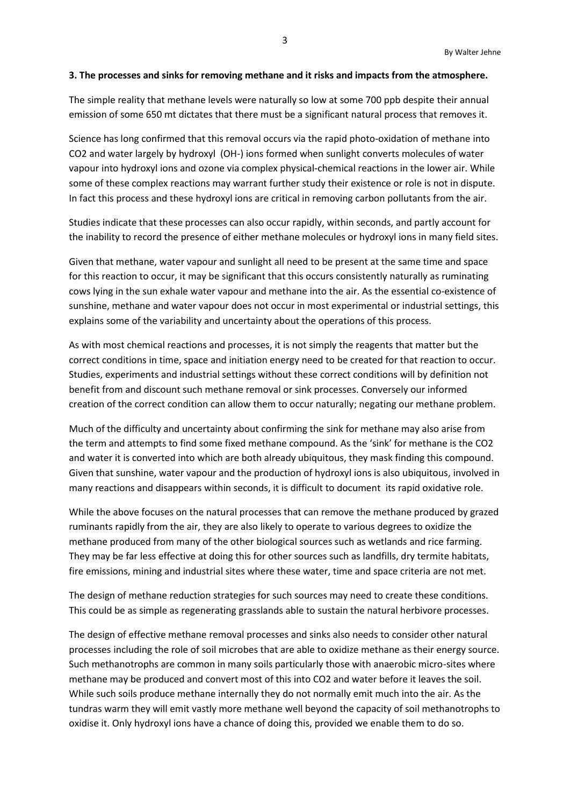#### **3. The processes and sinks for removing methane and it risks and impacts from the atmosphere.**

The simple reality that methane levels were naturally so low at some 700 ppb despite their annual emission of some 650 mt dictates that there must be a significant natural process that removes it.

Science has long confirmed that this removal occurs via the rapid photo-oxidation of methane into CO2 and water largely by hydroxyl (OH-) ions formed when sunlight converts molecules of water vapour into hydroxyl ions and ozone via complex physical-chemical reactions in the lower air. While some of these complex reactions may warrant further study their existence or role is not in dispute. In fact this process and these hydroxyl ions are critical in removing carbon pollutants from the air.

Studies indicate that these processes can also occur rapidly, within seconds, and partly account for the inability to record the presence of either methane molecules or hydroxyl ions in many field sites.

Given that methane, water vapour and sunlight all need to be present at the same time and space for this reaction to occur, it may be significant that this occurs consistently naturally as ruminating cows lying in the sun exhale water vapour and methane into the air. As the essential co-existence of sunshine, methane and water vapour does not occur in most experimental or industrial settings, this explains some of the variability and uncertainty about the operations of this process.

As with most chemical reactions and processes, it is not simply the reagents that matter but the correct conditions in time, space and initiation energy need to be created for that reaction to occur. Studies, experiments and industrial settings without these correct conditions will by definition not benefit from and discount such methane removal or sink processes. Conversely our informed creation of the correct condition can allow them to occur naturally; negating our methane problem.

Much of the difficulty and uncertainty about confirming the sink for methane may also arise from the term and attempts to find some fixed methane compound. As the 'sink' for methane is the CO2 and water it is converted into which are both already ubiquitous, they mask finding this compound. Given that sunshine, water vapour and the production of hydroxyl ions is also ubiquitous, involved in many reactions and disappears within seconds, it is difficult to document its rapid oxidative role.

While the above focuses on the natural processes that can remove the methane produced by grazed ruminants rapidly from the air, they are also likely to operate to various degrees to oxidize the methane produced from many of the other biological sources such as wetlands and rice farming. They may be far less effective at doing this for other sources such as landfills, dry termite habitats, fire emissions, mining and industrial sites where these water, time and space criteria are not met.

The design of methane reduction strategies for such sources may need to create these conditions. This could be as simple as regenerating grasslands able to sustain the natural herbivore processes.

The design of effective methane removal processes and sinks also needs to consider other natural processes including the role of soil microbes that are able to oxidize methane as their energy source. Such methanotrophs are common in many soils particularly those with anaerobic micro-sites where methane may be produced and convert most of this into CO2 and water before it leaves the soil. While such soils produce methane internally they do not normally emit much into the air. As the tundras warm they will emit vastly more methane well beyond the capacity of soil methanotrophs to oxidise it. Only hydroxyl ions have a chance of doing this, provided we enable them to do so.